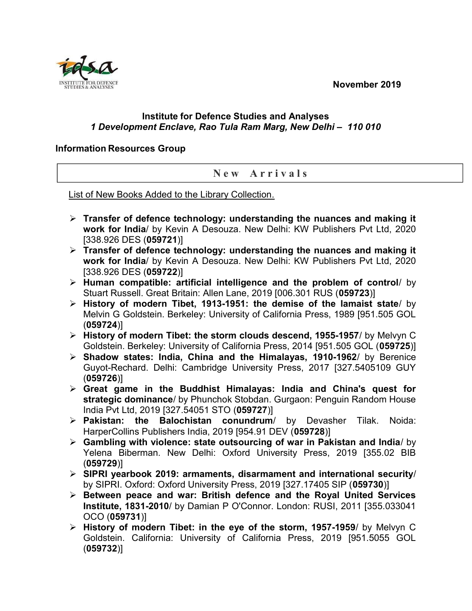November 2019



## Institute for Defence Studies and Analyses 1 Development Enclave, Rao Tula Ram Marg, New Delhi – 110 010

## Information Resources Group

## New Arrivals

List of New Books Added to the Library Collection.

- $\triangleright$  Transfer of defence technology: understanding the nuances and making it work for India/ by Kevin A Desouza. New Delhi: KW Publishers Pvt Ltd, 2020 [338.926 DES (059721)]
- $\triangleright$  Transfer of defence technology: understanding the nuances and making it work for India/ by Kevin A Desouza. New Delhi: KW Publishers Pvt Ltd, 2020 [338.926 DES (059722)]
- $\triangleright$  Human compatible: artificial intelligence and the problem of control/ by Stuart Russell. Great Britain: Allen Lane, 2019 [006.301 RUS (059723)]
- $\triangleright$  History of modern Tibet, 1913-1951: the demise of the lamaist state/ by Melvin G Goldstein. Berkeley: University of California Press, 1989 [951.505 GOL (059724)]
- $\triangleright$  History of modern Tibet: the storm clouds descend, 1955-1957/ by Melvyn C Goldstein. Berkeley: University of California Press, 2014 [951.505 GOL (059725)]
- $\triangleright$  Shadow states: India, China and the Himalayas, 1910-1962/ by Berenice Guyot-Rechard. Delhi: Cambridge University Press, 2017 [327.5405109 GUY (059726)]
- $\triangleright$  Great game in the Buddhist Himalayas: India and China's quest for strategic dominance/ by Phunchok Stobdan. Gurgaon: Penguin Random House India Pvt Ltd, 2019 [327.54051 STO (059727)]
- $\triangleright$  Pakistan: the Balochistan conundrum/ by Devasher Tilak. Noida: HarperCollins Publishers India, 2019 [954.91 DEV (059728)]
- $\triangleright$  Gambling with violence: state outsourcing of war in Pakistan and India/ by Yelena Biberman. New Delhi: Oxford University Press, 2019 [355.02 BIB (059729)]
- $\triangleright$  SIPRI yearbook 2019: armaments, disarmament and international security/ by SIPRI. Oxford: Oxford University Press, 2019 [327.17405 SIP (059730)]
- $\triangleright$  Between peace and war: British defence and the Royal United Services Institute, 1831-2010/ by Damian P O'Connor. London: RUSI, 2011 [355.033041 OCO (059731)]
- > History of modern Tibet: in the eye of the storm, 1957-1959/ by Melvyn C Goldstein. California: University of California Press, 2019 [951.5055 GOL (059732)]